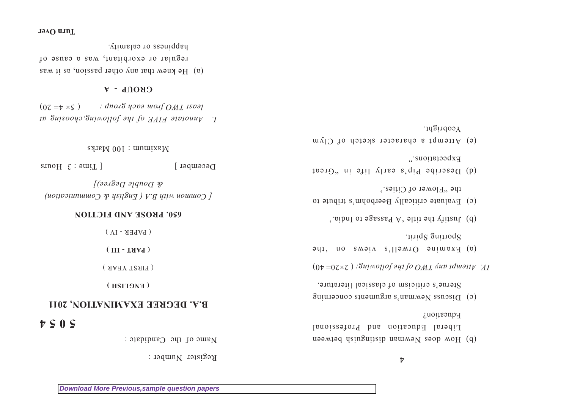$\frac{1}{2}$ 

- (b) How does Newman distinguish between Liberal Education and Professional  $E$ uont $\mathbf{p}$
- $(0, 0)$  Discuss Newman's arguments concerning Sterue's criticism of classical literature.
- $(0 \nu = 07 \times 7)$ : *Suimollof any following stap parameter*
- ay, uo smain s llawio auiwex (e) Sporting Spirit.
- (b) Justify the title 'A Passage to India.
- (c) Evaluate critically Beerbohm's tribute to the "Flower of Cities."
- (d) Describe Pip's early life in "Great Expectations."
- (e) Attempt a character sketch of Clym Yeobright.

Register Number :

Name of the Candidate :

# **5 0 5 4**

# **B.A. DEGREE EXAMINATION, 2011**

**( ENGLISH )**

( FIRST YEAR )

**( PART - III )**

 $(M - Y)$ 

## **650. PROSE AND FICTION**

*[ Common with B.A ( English & Communication) Degree)] & Double* 

 $D$ ecember  $[$  Time  $\mathcal{F}$  Hours

 $\text{SNIB} \neq 001$  : mumix $\text{s}$ M

*I. Annotate FIVE of the following,choosing at*  $(07 = b \times s)$  *: dno.18 yors wolf OML 15031* 

### **GROUP - A**

(a) He knew that any other passion, as it was regular or exorbitant, was a cause of happiness or calamity.

#### **Turn Over**